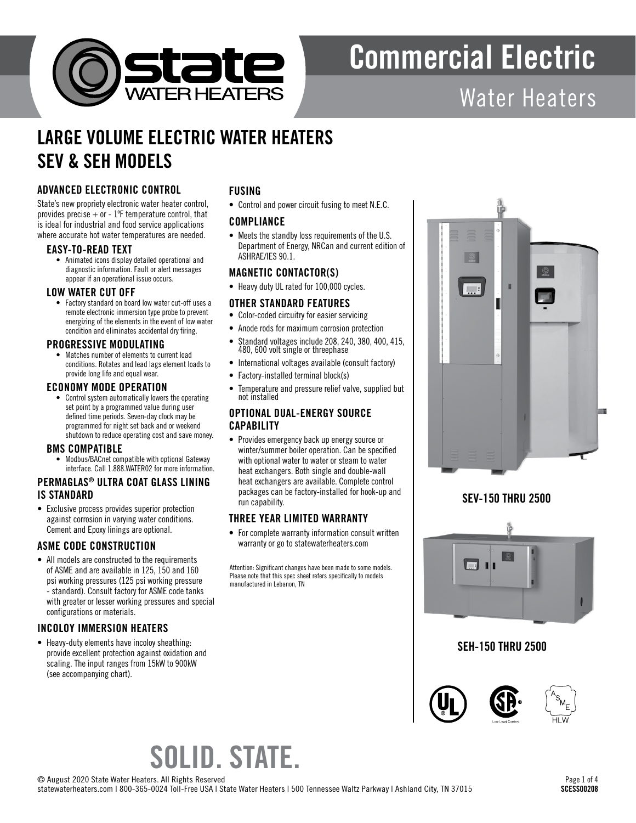

# Commercial Electric

## Water Heaters

### LARGE VOLUME ELECTRIC WATER HEATERS SEV & SEH MODELS

### ADVANCED ELECTRONIC CONTROL

State's new propriety electronic water heater control, provides precise  $+$  or  $-1$ <sup>o</sup>F temperature control, that is ideal for industrial and food service applications where accurate hot water temperatures are needed.

### EASY-TO-READ TEXT

• Animated icons display detailed operational and diagnostic information. Fault or alert messages appear if an operational issue occurs.

### LOW WATER CUT OFF

• Factory standard on board low water cut-off uses a remote electronic immersion type probe to prevent energizing of the elements in the event of low water condition and eliminates accidental dry firing.

### PROGRESSIVE MODULATING

• Matches number of elements to current load conditions. Rotates and lead lags element loads to provide long life and equal wear.

### ECONOMY MODE OPERATION

• Control system automatically lowers the operating set point by a programmed value during user defined time periods. Seven-day clock may be programmed for night set back and or weekend shutdown to reduce operating cost and save money.

### BMS COMPATIBLE

• Modbus/BACnet compatible with optional Gateway interface. Call 1.888.WATER02 for more information.

### PERMAGLAS® ULTRA COAT GLASS LINING IS STANDARD

• Exclusive process provides superior protection against corrosion in varying water conditions. Cement and Epoxy linings are optional.

### ASME CODE CONSTRUCTION

• All models are constructed to the requirements of ASME and are available in 125, 150 and 160 psi working pressures (125 psi working pressure - standard). Consult factory for ASME code tanks with greater or lesser working pressures and special configurations or materials.

### INCOLOY IMMERSION HEATERS

• Heavy-duty elements have incoloy sheathing: provide excellent protection against oxidation and scaling. The input ranges from 15kW to 900kW (see accompanying chart).

### FUSING

• Control and power circuit fusing to meet N.E.C.

### **COMPLIANCE**

• Meets the standby loss requirements of the U.S. Department of Energy, NRCan and current edition of ASHRAE/IES 90.1.

### MAGNETIC CONTACTOR(S)

• Heavy duty UL rated for 100,000 cycles.

### OTHER STANDARD FEATURES

- Color-coded circuitry for easier servicing
- Anode rods for maximum corrosion protection
- Standard voltages include 208, 240, 380, 400, 415, 480, 600 volt single or threephase
- International voltages available (consult factory)
- Factory-installed terminal block(s)
- Temperature and pressure relief valve, supplied but not installed

### OPTIONAL DUAL-ENERGY SOURCE **CAPABILITY**

• Provides emergency back up energy source or winter/summer boiler operation. Can be specified with optional water to water or steam to water heat exchangers. Both single and double-wall heat exchangers are available. Complete control packages can be factory-installed for hook-up and run capability.

### THREE YEAR LIMITED WARRANTY

• For complete warranty information consult written warranty or go to statewaterheaters.com

Attention: Significant changes have been made to some models. Please note that this spec sheet refers specifically to models manufactured in Lebanon, TN



### SEV-150 THRU 2500



### SEH-150 THRU 2500



# SOLID. STATE.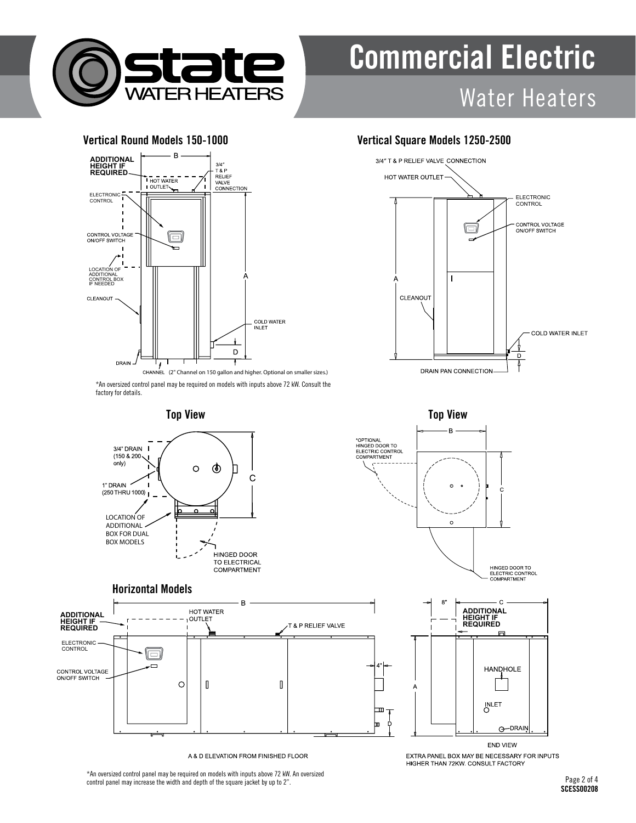

# Commercial Electric Water Heaters



\*An oversized control panel may be required on models with inputs above 72 kW. Consult the factory for details.



### Horizontal Models



A & D ELEVATION FROM FINISHED FLOOR

Vertical Round Models 150-1000 Vertical Square Models 1250-2500





HINGED DOOR TO<br>ELECTRIC CONTROL<br>COMPARTMENT



EXTRA PANEL BOX MAY BE NECESSARY FOR INPUTS HIGHER THAN 72KW. CONSULT FACTORY

\*An oversized control panel may be required on models with inputs above 72 kW. An oversized control panel may increase the width and depth of the square jacket by up to 2".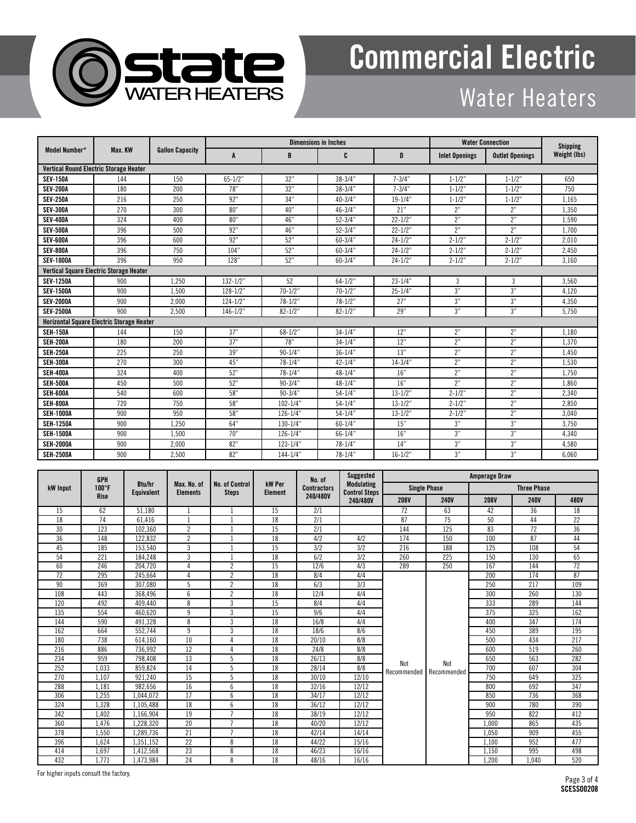

# Commercial Electric

### Water Heaters

| Model Number*                                    | Max. KW | <b>Gallon Capacity</b> |              |              | <b>Dimensions in Inches</b> | <b>Water Connection</b> |                       | <b>Shipping</b>        |              |  |  |
|--------------------------------------------------|---------|------------------------|--------------|--------------|-----------------------------|-------------------------|-----------------------|------------------------|--------------|--|--|
|                                                  |         |                        | A            | B            | C                           | D                       | <b>Inlet Openings</b> | <b>Outlet Openings</b> | Weight (lbs) |  |  |
| <b>Vertical Round Electric Storage Heater</b>    |         |                        |              |              |                             |                         |                       |                        |              |  |  |
| <b>SEV-150A</b>                                  | 144     | 150                    | $65 - 1/2"$  | 32"          | $38 - 3/4"$                 | $7 - 3/4"$              | $1 - 1/2"$            | $1 - 1/2"$             | 650          |  |  |
| <b>SEV-200A</b>                                  | 180     | 200                    | 78"          | 32"          | $38 - 3/4"$                 | $7 - 3/4"$              | $1 - 1/2"$            | $1 - 1/2"$             | 750          |  |  |
| <b>SEV-250A</b>                                  | 216     | 250                    | 92"          | 34"          | $40 - 3/4"$                 | $19 - 1/4"$             | $1 - 1/2"$            | $1 - 1/2"$             | 1.165        |  |  |
| <b>SEV-300A</b>                                  | 270     | 300                    | 80"          | 40"          | $46 - 3/4"$                 | 21"                     | 2"                    | 2"                     | 1,350        |  |  |
| <b>SEV-400A</b>                                  | 324     | 400                    | 80"          | 46"          | $52 - 3/4"$                 | $22 - 1/2"$             | 2"                    | 2"                     | 1,590        |  |  |
| <b>SEV-500A</b>                                  | 396     | 500                    | 92"          | 46"          | $52 - 3/4"$                 | $22 - 1/2"$             | 2"                    | 2"                     | 1,700        |  |  |
| <b>SEV-600A</b>                                  | 396     | 600                    | 92"          | 52"          | $60 - 3/4"$                 | $24 - 1/2"$             | $2 - 1/2"$            | $2 - 1/2"$             | 2.010        |  |  |
| <b>SEV-800A</b>                                  | 396     | 750                    | 104"         | 52"          | $60 - 3/4"$                 | $24 - 1/2"$             | $2 - 1/2"$            | $2 - 1/2"$             | 2.450        |  |  |
| <b>SEV-1000A</b>                                 | 396     | 950                    | 128"         | 52"          | $60 - 3/4"$                 | $24 - 1/2"$             | $2 - 1/2"$            | $2 - 1/2"$             | 3,160        |  |  |
| Vertical Square Electric Storage Heater          |         |                        |              |              |                             |                         |                       |                        |              |  |  |
| <b>SEV-1250A</b>                                 | 900     | 1.250                  | $132 - 1/2"$ | 52           | $64 - 1/2$ "                | $23 - 1/4"$             | 3                     | 3                      | 3.560        |  |  |
| <b>SEV-1500A</b>                                 | 900     | 1.500                  | $128 - 1/2"$ | $70 - 1/2"$  | $70 - 1/2"$                 | $25 - 1/4"$             | 3"                    | 3"                     | 4,120        |  |  |
| <b>SEV-2000A</b>                                 | 900     | 2,000                  | $124 - 1/2"$ | $78 - 1/2"$  | $78 - 1/2"$                 | 27"                     | 3"                    | 3"                     | 4,350        |  |  |
| <b>SEV-2500A</b>                                 | 900     | 2.500                  | $146 - 1/2"$ | $82 - 1/2"$  | $82 - 1/2$ "                | 29"                     | 3"                    | 3"                     | 5.750        |  |  |
| <b>Horizontal Square Electric Storage Heater</b> |         |                        |              |              |                             |                         |                       |                        |              |  |  |
| <b>SEII-150A</b>                                 | 144     | 150                    | 37"          | $68 - 1/2"$  | $34 - 1/4"$                 | 12"                     | 2"                    | 2"                     | 1.180        |  |  |
| <b>SEH-200A</b>                                  | 180     | 200                    | 37"          | 78"          | $34 - 1/4"$                 | 12"                     | 2"                    | 2"                     | 1.370        |  |  |
| <b>SEH-250A</b>                                  | 225     | 250                    | 39"          | $90 - 1/4"$  | $36 - 1/4"$                 | 13"                     | 2"                    | 2"                     | 1,450        |  |  |
| <b>SEH-300A</b>                                  | 270     | 300                    | 45"          | $78 - 1/4"$  | $42 - 1/4"$                 | $14 - 3/4"$             | 2"                    | 2"                     | 1.530        |  |  |
| <b>SEH-400A</b>                                  | 324     | 400                    | 52"          | $78 - 1/4"$  | $48 - 1/4"$                 | 16"                     | 2"                    | 2"                     | 1.750        |  |  |
| <b>SEH-500A</b>                                  | 450     | 500                    | 52"          | $90 - 3/4"$  | $48 - 1/4$ "                | 16"                     | 2"                    | 2"                     | 1,860        |  |  |
| SEH-600A                                         | 540     | 600                    | 58"          | $90 - 3/4"$  | $54 - 1/4"$                 | $13 - 1/2"$             | $2 - 1/2"$            | 2"                     | 2,340        |  |  |
| <b>SEH-800A</b>                                  | 720     | 750                    | 58"          | $102 - 1/4"$ | $54 - 1/4"$                 | $13 - 1/2"$             | $2 - 1/2"$            | 2"                     | 2.850        |  |  |
| <b>SEH-1000A</b>                                 | 900     | 950                    | 58"          | $126 - 1/4"$ | $54 - 1/4"$                 | $13 - 1/2"$             | $2 - 1/2"$            | 2"                     | 3.040        |  |  |
| <b>SEH-1250A</b>                                 | 900     | 1.250                  | 64"          | $130 - 1/4"$ | $60 - 1/4"$                 | 15"                     | 3"                    | 3"                     | 3,750        |  |  |
| <b>SEH-1500A</b>                                 | 900     | 1,500                  | 70"          | $126 - 1/4"$ | $66 - 1/4$ "                | 16"                     | 3"                    | 3"                     | 4,340        |  |  |
| <b>SEH-2000A</b>                                 | 900     | 2,000                  | 82"          | $123 - 1/4"$ | $78 - 1/4"$                 | 14"                     | 3"                    | 3"                     | 4,580        |  |  |
| <b>SEH-2500A</b>                                 | 900     | 2,500                  | 82"          | $144 - 1/4"$ | $78 - 1/4"$                 | $16 - 1/2"$             | 3"                    | 3"                     | 6,060        |  |  |

| kW Input | <b>GPH</b><br>$100^{\circ}$ F<br><b>Rise</b> | <b>Btu/hr</b><br><b>Equivalent</b> | Max. No. of<br><b>Elements</b> | <b>No. of Control</b><br><b>Steps</b> | kW Per<br><b>Element</b> | No. of<br><b>Contractors</b><br>240/480V | <b>Suggested</b><br><b>Modulating</b><br><b>Control Steps</b><br>240/480V | <b>Amperage Draw</b> |                    |                    |             |                 |
|----------|----------------------------------------------|------------------------------------|--------------------------------|---------------------------------------|--------------------------|------------------------------------------|---------------------------------------------------------------------------|----------------------|--------------------|--------------------|-------------|-----------------|
|          |                                              |                                    |                                |                                       |                          |                                          |                                                                           | <b>Single Phase</b>  |                    | <b>Three Phase</b> |             |                 |
|          |                                              |                                    |                                |                                       |                          |                                          |                                                                           | <b>208V</b>          | <b>240V</b>        | <b>208V</b>        | <b>240V</b> | <b>480V</b>     |
| 15       | 62                                           | 51.180                             |                                |                                       | 15                       | 2/1                                      |                                                                           | 72                   | 63                 | 42                 | 36          | 18              |
| 18       | 74                                           | 61.416                             |                                |                                       | 18                       | 2/1                                      |                                                                           | 87                   | 75                 | 50                 | 44          | $\overline{22}$ |
| 30       | 123                                          | 102.360                            | $\overline{c}$                 |                                       | 15                       | 2/1                                      |                                                                           | 144                  | 125                | 83                 | 72          | 36              |
| 36       | 148                                          | 122.832                            | $\overline{2}$                 |                                       | $\overline{18}$          | 4/2                                      | 4/2                                                                       | 174                  | 150                | 100                | 87          | 44              |
| 45       | 185                                          | 153,540                            | 3                              |                                       | 15                       | 3/2                                      | 3/2                                                                       | 216                  | 188                | 125                | 108         | 54              |
| 54       | 221                                          | 184.248                            | 3                              |                                       | 18                       | 6/2                                      | 3/2                                                                       | 260                  | 225                | 150                | 130         | 65              |
| 60       | 246                                          | 204,720                            | $\overline{4}$                 | $\overline{2}$                        | $\overline{15}$          | 12/6                                     | 4/3                                                                       | 289                  | 250                | 167                | 144         | $\overline{72}$ |
| 72       | 295                                          | 245,664                            | 4                              | $\overline{2}$                        | 18                       | 8/4                                      | 4/4                                                                       |                      | Not<br>Recommended | 200                | 174         | 87              |
| 90       | 369                                          | 307.080                            | 5                              | $\overline{2}$                        | 18                       | 6/3                                      | 3/3                                                                       |                      |                    | 250                | 217         | 109             |
| 108      | 443                                          | 368.496                            | 6                              | $\overline{2}$                        | $\overline{18}$          | 12/4                                     | 4/4                                                                       |                      |                    | 300                | 260         | 130             |
| 120      | 492                                          | 409,440                            | 8                              | 3                                     | 15                       | 8/4                                      | 4/4                                                                       |                      |                    | 333                | 289         | 144             |
| 135      | 554                                          | 460.620                            | 9                              | 3                                     | 15                       | 9/6                                      | 4/4                                                                       |                      |                    | 375                | 325         | 162             |
| 144      | 590                                          | 491.328                            | 8                              | 3                                     | 18                       | 16/8                                     | 4/4                                                                       |                      |                    | 400                | 347         | 174             |
| 162      | 664                                          | 552.744                            | 9                              | 3                                     | 18                       | 18/6                                     | 8/6                                                                       | Not<br>Recommended   |                    | 450                | 389         | 195             |
| 180      | 738                                          | 614,160                            | 10                             | 4                                     | $\overline{18}$          | 20/10                                    | 8/8                                                                       |                      |                    | 500                | 434         | 217             |
| 216      | 886                                          | 736,992                            | 12                             |                                       | 18                       | 24/8                                     | 8/8                                                                       |                      |                    | 600                | 519         | 260             |
| 234      | 959                                          | 798.408                            | 13                             | 5                                     | 18                       | 26/13                                    | 8/8                                                                       |                      |                    | 650                | 563         | 282             |
| 252      | 1.033                                        | 859.824                            | $\overline{14}$                | 5                                     | $\overline{18}$          | 28/14                                    | 8/8                                                                       |                      |                    | 700                | 607         | 304             |
| 270      | 1,107                                        | 921,240                            | 15                             | 5                                     | 18                       | 30/10                                    | 12/10                                                                     |                      |                    | 750                | 649         | 325             |
| 288      | 1.181                                        | 982.656                            | 16                             | 6                                     | 18                       | 32/16                                    | 12/12                                                                     |                      |                    | 800                | 692         | 347             |
| 306      | 1.255                                        | 1.044.072                          | 17                             | 6                                     | 18                       | 34/17                                    | 12/12                                                                     |                      |                    | 850                | 736         | 368             |
| 324      | 1.328                                        | 1.105.488                          | 18                             | 6                                     | 18                       | 36/12                                    | 12/12                                                                     |                      |                    | 900                | 780         | 390             |
| 342      | 1,402                                        | 1.166.904                          | 19                             | $\overline{7}$                        | 18                       | 38/19                                    | 12/12                                                                     |                      |                    | 950                | 822         | 412             |
| 360      | 1.476                                        | 1.228.320                          | 20                             | $\overline{7}$                        | 18                       | 40/20                                    | 12/12                                                                     |                      |                    | 1.000              | 865         | 435             |
| 378      | 1.550                                        | 1.289.736                          | 21                             | $\overline{ }$                        | 18                       | 42/14                                    | 14/14                                                                     |                      |                    | 1.050              | 909         | 455             |
| 396      | 1.624                                        | 1.351.152                          | 22                             | 8                                     | 18                       | 44/22                                    | 15/16                                                                     |                      |                    | 1.100              | 952         | 477             |
| 414      | 1,697                                        | 1,412,568                          | 23                             | 8                                     | 18                       | 46/23                                    | 16/16                                                                     |                      |                    | 1,150              | 995         | 498             |
| 432      | 1.771                                        | 1.473.984                          | 24                             | 8                                     | 18                       | 48/16                                    | 16/16                                                                     |                      |                    | 1.200              | 1.040       | 520             |

For higher inputs consult the factory.